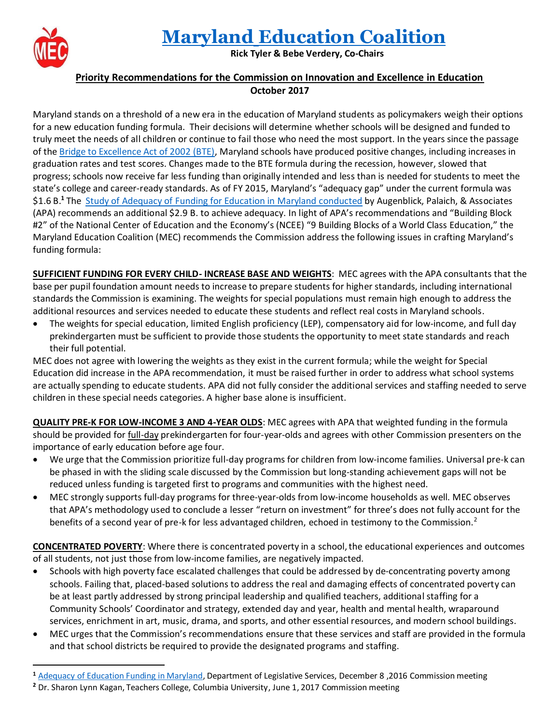

 $\overline{a}$ 

## **Maryland [Education](https://www.marylandeducationcoalition.org/) Coalition**

**Rick Tyler & Bebe Verdery, Co-Chairs**

## **Priority Recommendations for the Commission on Innovation and Excellence in Education October 2017**

Maryland stands on a threshold of a new era in the education of Maryland students as policymakers weigh their options for a new education funding formula. Their decisions will determine whether schools will be designed and funded to truly meet the needs of all children or continue to fail those who need the most support. In the years since the passage of the [Bridge to Excellence Act of 2002 \(BTE\),](http://mgaleg.maryland.gov/webmga/frmMain.aspx?tab=subject3&ys=2002rs/billfile/sb0856.htm) Maryland schools have produced positive changes, including increases in graduation rates and test scores. Changes made to the BTE formula during the recession, however, slowed that progress; schools now receive far less funding than originally intended and less than is needed for students to meet the state's college and career-ready standards. As of FY 2015, Maryland's "adequacy gap" under the current formula was \$1.6 B.**<sup>1</sup>** The [Study of Adequacy of Funding for Education in Maryland](http://marylandpublicschools.org/Documents/adequacystudy/AdequacyStudyReportFinal112016.pdf) conducted by Augenblick, Palaich, & Associates (APA) recommends an additional \$2.9 B. to achieve adequacy. In light of APA's recommendations and "Building Block #2" of the National Center of Education and the Economy's (NCEE) "9 Building Blocks of a World Class Education," the Maryland Education Coalition (MEC) recommends the Commission address the following issues in crafting Maryland's funding formula:

**SUFFICIENT FUNDING FOR EVERY CHILD- INCREASE BASE AND WEIGHTS**: MEC agrees with the APA consultants that the base per pupil foundation amount needs to increase to prepare students for higher standards, including international standards the Commission is examining. The weights for special populations must remain high enough to address the additional resources and services needed to educate these students and reflect real costs in Maryland schools.

• The weights for special education, limited English proficiency (LEP), compensatory aid for low-income, and full day prekindergarten must be sufficient to provide those students the opportunity to meet state standards and reach their full potential.

MEC does not agree with lowering the weights as they exist in the current formula; while the weight for Special Education did increase in the APA recommendation, it must be raised further in order to address what school systems are actually spending to educate students. APA did not fully consider the additional services and staffing needed to serve children in these special needs categories. A higher base alone is insufficient.

**QUALITY PRE-K FOR LOW-INCOME 3 AND 4-YEAR OLDS**: MEC agrees with APA that weighted funding in the formula should be provided for full-day prekindergarten for four-year-olds and agrees with other Commission presenters on the importance of early education before age four.

- We urge that the Commission prioritize full-day programs for children from low-income families. Universal pre-k can be phased in with the sliding scale discussed by the Commission but long-standing achievement gaps will not be reduced unless funding is targeted first to programs and communities with the highest need.
- MEC strongly supports full-day programs for three-year-olds from low-income households as well. MEC observes that APA's methodology used to conclude a lesser "return on investment" for three's does not fully account for the benefits of a second year of pre-k for less advantaged children, echoed in testimony to the Commission.<sup>2</sup>

**CONCENTRATED POVERTY:** Where there is concentrated poverty in a school, the educational experiences and outcomes of all students, not just those from low-income families, are negatively impacted.

- Schools with high poverty face escalated challenges that could be addressed by de-concentrating poverty among schools. Failing that, placed-based solutions to address the real and damaging effects of concentrated poverty can be at least partly addressed by strong principal leadership and qualified teachers, additional staffing for a Community Schools' Coordinator and strategy, extended day and year, health and mental health, wraparound services, enrichment in art, music, drama, and sports, and other essential resources, and modern school buildings.
- MEC urges that the Commission's recommendations ensure that these services and staff are provided in the formula and that school districts be required to provide the designated programs and staffing.

**<sup>1</sup>** [Adequacy of Education Funding in Maryland,](http://mgaleg.maryland.gov/Pubs/CommTFWorkgrp/2016-Innovation-Excellence-in-Education-Commission-2016-12-08.pdf) Department of Legislative Services, December 8 ,2016 Commission meeting

**<sup>2</sup>** Dr. Sharon Lynn Kagan, Teachers College, Columbia University, June 1, 2017 Commission meeting